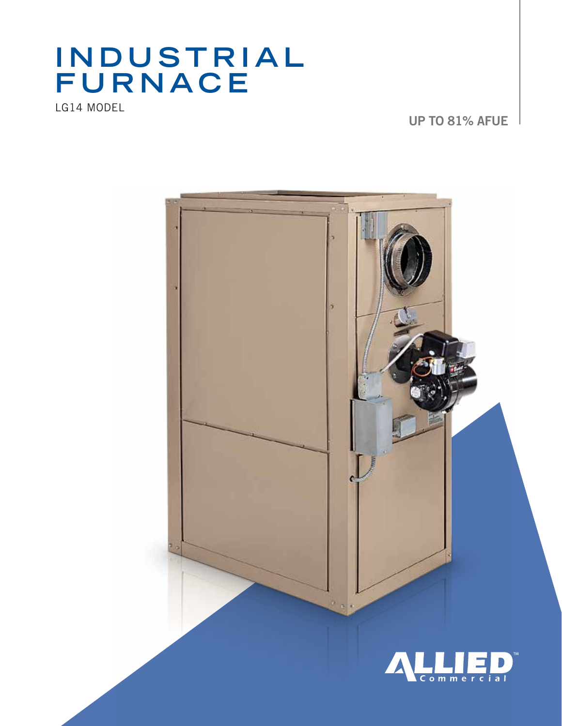# INDUSTRIAL<br>FURNACE

LG14 MODEL

UP TO 81% AFUE

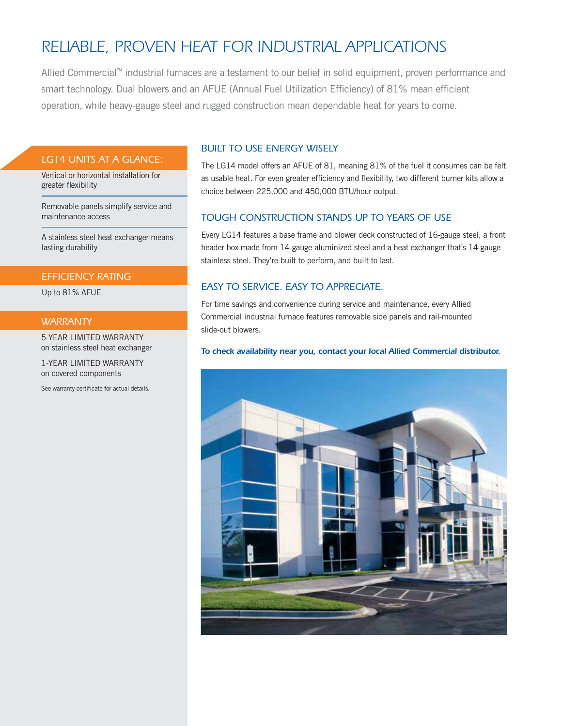# *RELIABLE, proven HEAT FOR INDUSTRIAL APPLICATIONS*

Allied Commercial™ industrial furnaces are a testament to our belief in solid equipment, proven performance and smart technology. Dual blowers and an AFUE (Annual Fuel Utilization Efficiency) of 81% mean efficient operation, while heavy-gauge steel and rugged construction mean dependable heat for years to come.

#### *LG14 Units at a glance:*

Vertical or horizontal installation for greater flexibility

Removable panels simplify service and maintenance access

A stainless steel heat exchanger means lasting durability

## *Efficiency Rating*

Up to 81% AFUE

#### *WARRANTY*

5-Year Limited Warranty on stainless steel heat exchanger

1-Year Limited Warranty on covered components

See warranty certificate for actual details.

#### *Built to use energy wisely*

The LG14 model offers an AFUE of 81, meaning 81% of the fuel it consumes can be felt as usable heat. For even greater efficiency and flexibility, two different burner kits allow a choice between 225,000 and 450,000 BTU/hour output.

#### *Tough construction stands up to years of use*

Every LG14 features a base frame and blower deck constructed of 16-gauge steel, a front header box made from 14-gauge aluminized steel and a heat exchanger that's 14-gauge stainless steel. They're built to perform, and built to last.

### *EASY to SERVICE. EASY to appreciate.*

For time savings and convenience during service and maintenance, every Allied Commercial industrial furnace features removable side panels and rail-mounted slide-out blowers.

#### *To check availability near you, contact your local Allied Commercial distributor.*

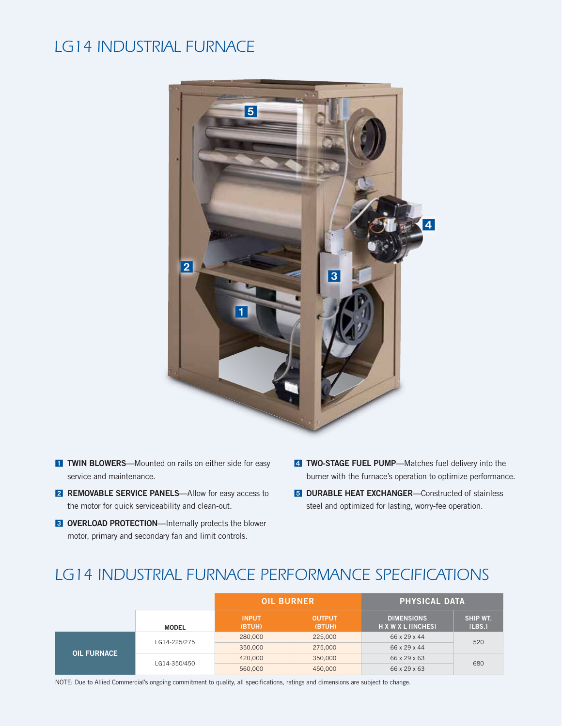## *LG14 Industrial Furnace*



- **T TWIN BLOWERS**—Mounted on rails on either side for easy service and maintenance.
- **2 REMOVABLE SERVICE PANELS**-Allow for easy access to the motor for quick serviceability and clean-out.
- **3 OVERLOAD PROTECTION**—Internally protects the blower motor, primary and secondary fan and limit controls.
- 4 TWO-STAGE FUEL PUMP-Matches fuel delivery into the burner with the furnace's operation to optimize performance.
- **5 DURABLE HEAT EXCHANGER**—Constructed of stainless steel and optimized for lasting, worry-fee operation.

# *LG14 Industrial Furnace performance Specifications*

|                    |              | <b>OIL BURNER</b>      |                         | <b>PHYSICAL DATA</b>                    |                    |
|--------------------|--------------|------------------------|-------------------------|-----------------------------------------|--------------------|
|                    | <b>MODEL</b> | <b>INPUT</b><br>(BTUH) | <b>OUTPUT</b><br>(BTUH) | <b>DIMENSIONS</b><br>H X W X L [INCHES] | SHIP WT.<br>[LBS.] |
| <b>OIL FURNACE</b> | LG14-225/275 | 280,000                | 225,000                 | 66 x 29 x 44                            | 520                |
|                    |              | 350,000                | 275,000                 | 66 x 29 x 44                            |                    |
|                    | LG14-350/450 | 420,000                | 350,000                 | 66 x 29 x 63                            | 680                |
|                    |              | 560,000                | 450,000                 | 66 x 29 x 63                            |                    |

NOTE: Due to Allied Commercial's ongoing commitment to quality, all specifications, ratings and dimensions are subject to change.